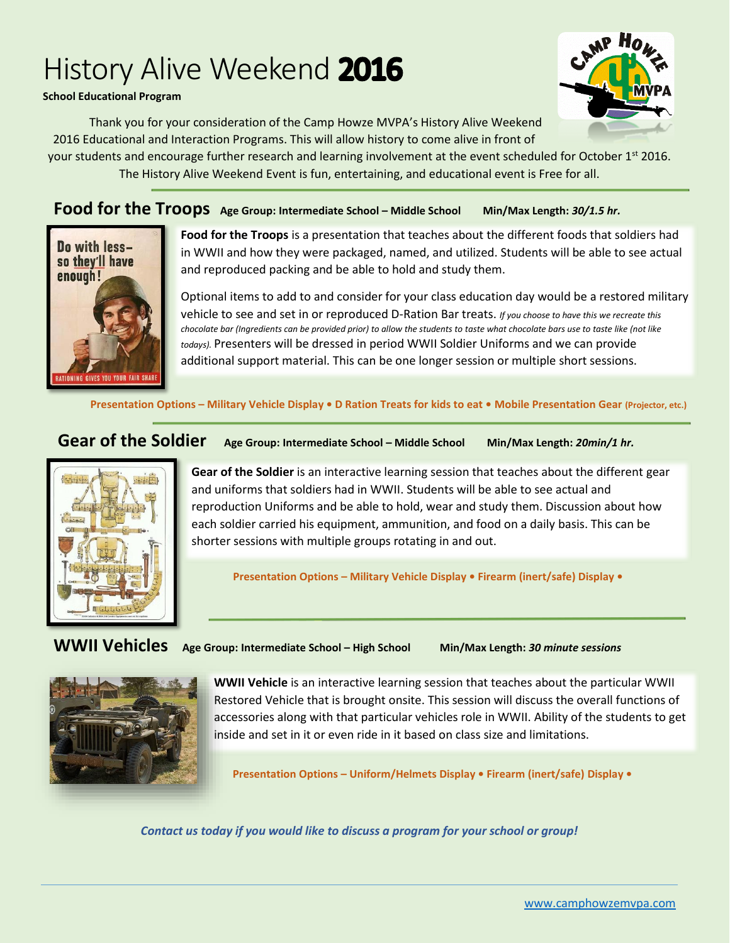# History Alive Weekend 2016

### **School Educational Program**

Thank you for your consideration of the Camp Howze MVPA's History Alive Weekend 2016 Educational and Interaction Programs. This will allow history to come alive in front of

your students and encourage further research and learning involvement at the event scheduled for October 1<sup>st</sup> 2016. The History Alive Weekend Event is fun, entertaining, and educational event is Free for all.

**Food for the Troops Age Group: Intermediate School – Middle School Min/Max Length:** *30/1.5 hr.*



**Food for the Troops** is a presentation that teaches about the different foods that soldiers had in WWII and how they were packaged, named, and utilized. Students will be able to see actual and reproduced packing and be able to hold and study them.

Optional items to add to and consider for your class education day would be a restored military vehicle to see and set in or reproduced D-Ration Bar treats. *If you choose to have this we recreate this chocolate bar (Ingredients can be provided prior) to allow the students to taste what chocolate bars use to taste like (not like todays).* Presenters will be dressed in period WWII Soldier Uniforms and we can provide additional support material. This can be one longer session or multiple short sessions.

**Presentation Options – Military Vehicle Display • D Ration Treats for kids to eat • Mobile Presentation Gear (Projector, etc.)**

### **Gear of the Soldier Age Group: Intermediate School – Middle School Min/Max Length:** *20min/1 hr.*



**Gear of the Soldier** is an interactive learning session that teaches about the different gear and uniforms that soldiers had in WWII. Students will be able to see actual and reproduction Uniforms and be able to hold, wear and study them. Discussion about how each soldier carried his equipment, ammunition, and food on a daily basis. This can be shorter sessions with multiple groups rotating in and out.

**Presentation Options – Military Vehicle Display • Firearm (inert/safe) Display •** 

**WWII Vehicles Age Group: Intermediate School – High School Min/Max Length:** *<sup>30</sup> minute sessions*



**WWII Vehicle** is an interactive learning session that teaches about the particular WWII Restored Vehicle that is brought onsite. This session will discuss the overall functions of accessories along with that particular vehicles role in WWII. Ability of the students to get inside and set in it or even ride in it based on class size and limitations.

**Presentation Options – Uniform/Helmets Display • Firearm (inert/safe) Display •**

*Contact us today if you would like to discuss a program for your school or group!*